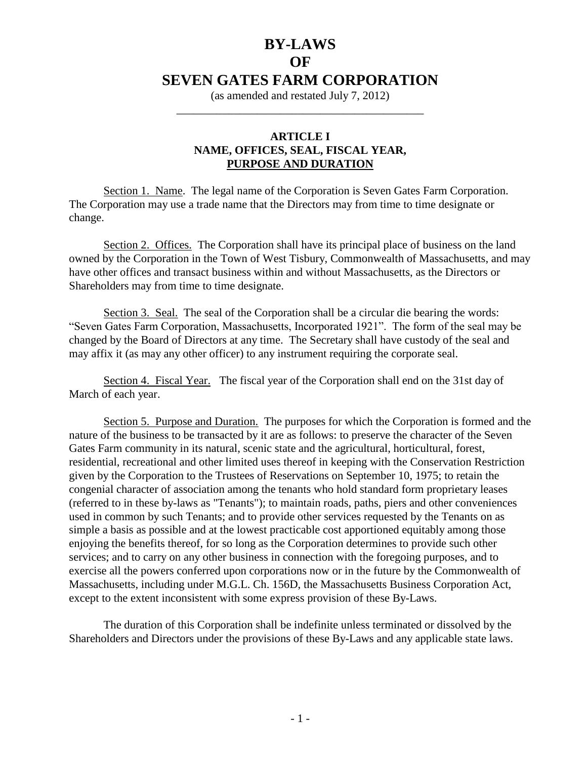# **BY-LAWS OF SEVEN GATES FARM CORPORATION**

(as amended and restated July 7, 2012) \_\_\_\_\_\_\_\_\_\_\_\_\_\_\_\_\_\_\_\_\_\_\_\_\_\_\_\_\_\_\_\_\_\_\_\_\_\_\_\_\_\_\_

# **ARTICLE I NAME, OFFICES, SEAL, FISCAL YEAR, PURPOSE AND DURATION**

Section 1. Name. The legal name of the Corporation is Seven Gates Farm Corporation. The Corporation may use a trade name that the Directors may from time to time designate or change.

Section 2. Offices. The Corporation shall have its principal place of business on the land owned by the Corporation in the Town of West Tisbury, Commonwealth of Massachusetts, and may have other offices and transact business within and without Massachusetts, as the Directors or Shareholders may from time to time designate.

Section 3. Seal. The seal of the Corporation shall be a circular die bearing the words: "Seven Gates Farm Corporation, Massachusetts, Incorporated 1921". The form of the seal may be changed by the Board of Directors at any time. The Secretary shall have custody of the seal and may affix it (as may any other officer) to any instrument requiring the corporate seal.

Section 4. Fiscal Year. The fiscal year of the Corporation shall end on the 31st day of March of each year.

Section 5. Purpose and Duration. The purposes for which the Corporation is formed and the nature of the business to be transacted by it are as follows: to preserve the character of the Seven Gates Farm community in its natural, scenic state and the agricultural, horticultural, forest, residential, recreational and other limited uses thereof in keeping with the Conservation Restriction given by the Corporation to the Trustees of Reservations on September 10, 1975; to retain the congenial character of association among the tenants who hold standard form proprietary leases (referred to in these by-laws as "Tenants"); to maintain roads, paths, piers and other conveniences used in common by such Tenants; and to provide other services requested by the Tenants on as simple a basis as possible and at the lowest practicable cost apportioned equitably among those enjoying the benefits thereof, for so long as the Corporation determines to provide such other services; and to carry on any other business in connection with the foregoing purposes, and to exercise all the powers conferred upon corporations now or in the future by the Commonwealth of Massachusetts, including under M.G.L. Ch. 156D, the Massachusetts Business Corporation Act, except to the extent inconsistent with some express provision of these By-Laws.

The duration of this Corporation shall be indefinite unless terminated or dissolved by the Shareholders and Directors under the provisions of these By-Laws and any applicable state laws.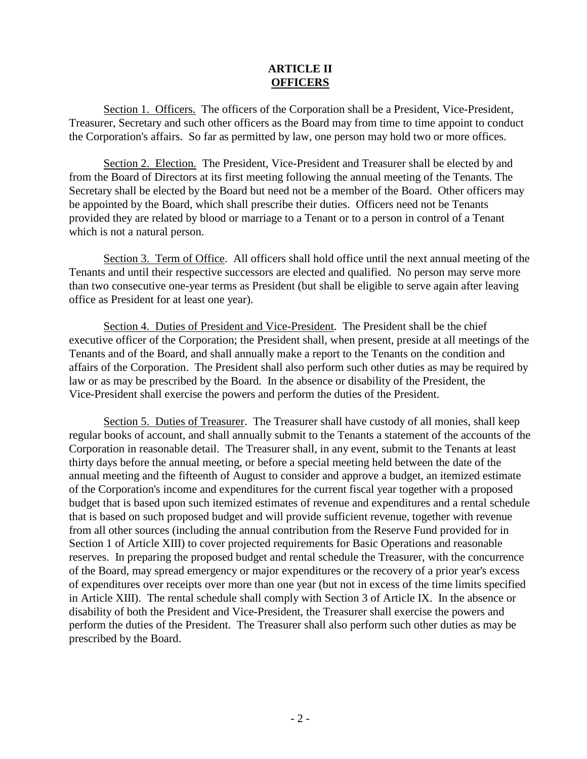## **ARTICLE II OFFICERS**

Section 1. Officers. The officers of the Corporation shall be a President, Vice-President, Treasurer, Secretary and such other officers as the Board may from time to time appoint to conduct the Corporation's affairs. So far as permitted by law, one person may hold two or more offices.

Section 2. Election. The President, Vice-President and Treasurer shall be elected by and from the Board of Directors at its first meeting following the annual meeting of the Tenants. The Secretary shall be elected by the Board but need not be a member of the Board. Other officers may be appointed by the Board, which shall prescribe their duties. Officers need not be Tenants provided they are related by blood or marriage to a Tenant or to a person in control of a Tenant which is not a natural person.

Section 3. Term of Office. All officers shall hold office until the next annual meeting of the Tenants and until their respective successors are elected and qualified. No person may serve more than two consecutive one-year terms as President (but shall be eligible to serve again after leaving office as President for at least one year).

Section 4. Duties of President and Vice-President. The President shall be the chief executive officer of the Corporation; the President shall, when present, preside at all meetings of the Tenants and of the Board, and shall annually make a report to the Tenants on the condition and affairs of the Corporation. The President shall also perform such other duties as may be required by law or as may be prescribed by the Board. In the absence or disability of the President, the Vice-President shall exercise the powers and perform the duties of the President.

Section 5. Duties of Treasurer. The Treasurer shall have custody of all monies, shall keep regular books of account, and shall annually submit to the Tenants a statement of the accounts of the Corporation in reasonable detail. The Treasurer shall, in any event, submit to the Tenants at least thirty days before the annual meeting, or before a special meeting held between the date of the annual meeting and the fifteenth of August to consider and approve a budget, an itemized estimate of the Corporation's income and expenditures for the current fiscal year together with a proposed budget that is based upon such itemized estimates of revenue and expenditures and a rental schedule that is based on such proposed budget and will provide sufficient revenue, together with revenue from all other sources (including the annual contribution from the Reserve Fund provided for in Section 1 of Article XIII) to cover projected requirements for Basic Operations and reasonable reserves. In preparing the proposed budget and rental schedule the Treasurer, with the concurrence of the Board, may spread emergency or major expenditures or the recovery of a prior year's excess of expenditures over receipts over more than one year (but not in excess of the time limits specified in Article XIII). The rental schedule shall comply with Section 3 of Article IX. In the absence or disability of both the President and Vice-President, the Treasurer shall exercise the powers and perform the duties of the President. The Treasurer shall also perform such other duties as may be prescribed by the Board.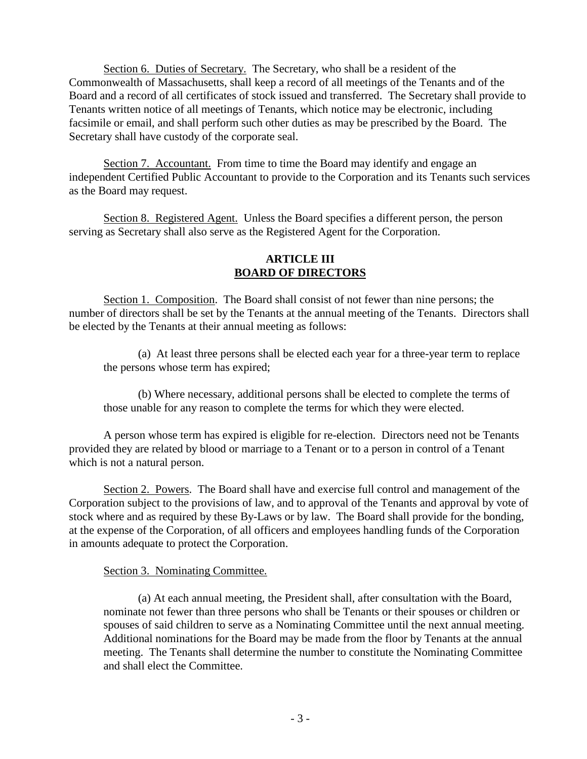Section 6. Duties of Secretary. The Secretary, who shall be a resident of the Commonwealth of Massachusetts, shall keep a record of all meetings of the Tenants and of the Board and a record of all certificates of stock issued and transferred. The Secretary shall provide to Tenants written notice of all meetings of Tenants, which notice may be electronic, including facsimile or email, and shall perform such other duties as may be prescribed by the Board. The Secretary shall have custody of the corporate seal.

Section 7. Accountant. From time to time the Board may identify and engage an independent Certified Public Accountant to provide to the Corporation and its Tenants such services as the Board may request.

Section 8. Registered Agent. Unless the Board specifies a different person, the person serving as Secretary shall also serve as the Registered Agent for the Corporation.

### **ARTICLE III BOARD OF DIRECTORS**

Section 1. Composition. The Board shall consist of not fewer than nine persons; the number of directors shall be set by the Tenants at the annual meeting of the Tenants. Directors shall be elected by the Tenants at their annual meeting as follows:

(a) At least three persons shall be elected each year for a three-year term to replace the persons whose term has expired;

(b) Where necessary, additional persons shall be elected to complete the terms of those unable for any reason to complete the terms for which they were elected.

A person whose term has expired is eligible for re-election. Directors need not be Tenants provided they are related by blood or marriage to a Tenant or to a person in control of a Tenant which is not a natural person.

Section 2. Powers. The Board shall have and exercise full control and management of the Corporation subject to the provisions of law, and to approval of the Tenants and approval by vote of stock where and as required by these By-Laws or by law. The Board shall provide for the bonding, at the expense of the Corporation, of all officers and employees handling funds of the Corporation in amounts adequate to protect the Corporation.

## Section 3. Nominating Committee.

(a) At each annual meeting, the President shall, after consultation with the Board, nominate not fewer than three persons who shall be Tenants or their spouses or children or spouses of said children to serve as a Nominating Committee until the next annual meeting. Additional nominations for the Board may be made from the floor by Tenants at the annual meeting. The Tenants shall determine the number to constitute the Nominating Committee and shall elect the Committee.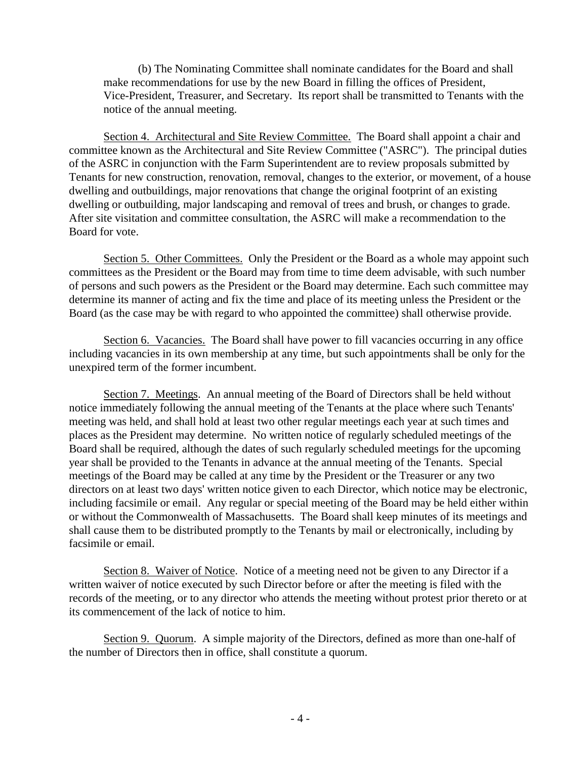(b) The Nominating Committee shall nominate candidates for the Board and shall make recommendations for use by the new Board in filling the offices of President, Vice-President, Treasurer, and Secretary. Its report shall be transmitted to Tenants with the notice of the annual meeting.

Section 4. Architectural and Site Review Committee. The Board shall appoint a chair and committee known as the Architectural and Site Review Committee ("ASRC"). The principal duties of the ASRC in conjunction with the Farm Superintendent are to review proposals submitted by Tenants for new construction, renovation, removal, changes to the exterior, or movement, of a house dwelling and outbuildings, major renovations that change the original footprint of an existing dwelling or outbuilding, major landscaping and removal of trees and brush, or changes to grade. After site visitation and committee consultation, the ASRC will make a recommendation to the Board for vote.

Section 5. Other Committees. Only the President or the Board as a whole may appoint such committees as the President or the Board may from time to time deem advisable, with such number of persons and such powers as the President or the Board may determine. Each such committee may determine its manner of acting and fix the time and place of its meeting unless the President or the Board (as the case may be with regard to who appointed the committee) shall otherwise provide.

Section 6. Vacancies. The Board shall have power to fill vacancies occurring in any office including vacancies in its own membership at any time, but such appointments shall be only for the unexpired term of the former incumbent.

Section 7. Meetings. An annual meeting of the Board of Directors shall be held without notice immediately following the annual meeting of the Tenants at the place where such Tenants' meeting was held, and shall hold at least two other regular meetings each year at such times and places as the President may determine. No written notice of regularly scheduled meetings of the Board shall be required, although the dates of such regularly scheduled meetings for the upcoming year shall be provided to the Tenants in advance at the annual meeting of the Tenants. Special meetings of the Board may be called at any time by the President or the Treasurer or any two directors on at least two days' written notice given to each Director, which notice may be electronic, including facsimile or email. Any regular or special meeting of the Board may be held either within or without the Commonwealth of Massachusetts. The Board shall keep minutes of its meetings and shall cause them to be distributed promptly to the Tenants by mail or electronically, including by facsimile or email.

Section 8. Waiver of Notice. Notice of a meeting need not be given to any Director if a written waiver of notice executed by such Director before or after the meeting is filed with the records of the meeting, or to any director who attends the meeting without protest prior thereto or at its commencement of the lack of notice to him.

Section 9. Quorum. A simple majority of the Directors, defined as more than one-half of the number of Directors then in office, shall constitute a quorum.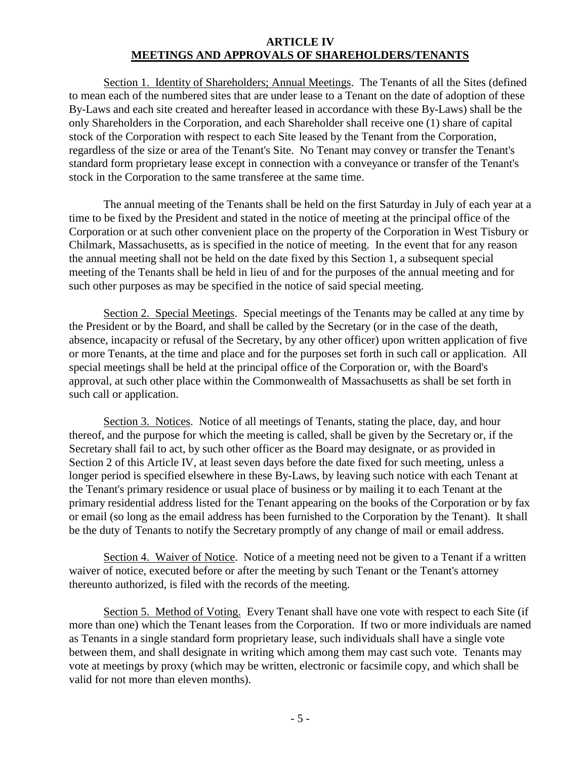## **ARTICLE IV MEETINGS AND APPROVALS OF SHAREHOLDERS/TENANTS**

Section 1. Identity of Shareholders; Annual Meetings. The Tenants of all the Sites (defined to mean each of the numbered sites that are under lease to a Tenant on the date of adoption of these By-Laws and each site created and hereafter leased in accordance with these By-Laws) shall be the only Shareholders in the Corporation, and each Shareholder shall receive one (1) share of capital stock of the Corporation with respect to each Site leased by the Tenant from the Corporation, regardless of the size or area of the Tenant's Site. No Tenant may convey or transfer the Tenant's standard form proprietary lease except in connection with a conveyance or transfer of the Tenant's stock in the Corporation to the same transferee at the same time.

The annual meeting of the Tenants shall be held on the first Saturday in July of each year at a time to be fixed by the President and stated in the notice of meeting at the principal office of the Corporation or at such other convenient place on the property of the Corporation in West Tisbury or Chilmark, Massachusetts, as is specified in the notice of meeting. In the event that for any reason the annual meeting shall not be held on the date fixed by this Section 1, a subsequent special meeting of the Tenants shall be held in lieu of and for the purposes of the annual meeting and for such other purposes as may be specified in the notice of said special meeting.

Section 2. Special Meetings. Special meetings of the Tenants may be called at any time by the President or by the Board, and shall be called by the Secretary (or in the case of the death, absence, incapacity or refusal of the Secretary, by any other officer) upon written application of five or more Tenants, at the time and place and for the purposes set forth in such call or application. All special meetings shall be held at the principal office of the Corporation or, with the Board's approval, at such other place within the Commonwealth of Massachusetts as shall be set forth in such call or application.

Section 3. Notices. Notice of all meetings of Tenants, stating the place, day, and hour thereof, and the purpose for which the meeting is called, shall be given by the Secretary or, if the Secretary shall fail to act, by such other officer as the Board may designate, or as provided in Section 2 of this Article IV, at least seven days before the date fixed for such meeting, unless a longer period is specified elsewhere in these By-Laws, by leaving such notice with each Tenant at the Tenant's primary residence or usual place of business or by mailing it to each Tenant at the primary residential address listed for the Tenant appearing on the books of the Corporation or by fax or email (so long as the email address has been furnished to the Corporation by the Tenant). It shall be the duty of Tenants to notify the Secretary promptly of any change of mail or email address.

Section 4. Waiver of Notice. Notice of a meeting need not be given to a Tenant if a written waiver of notice, executed before or after the meeting by such Tenant or the Tenant's attorney thereunto authorized, is filed with the records of the meeting.

Section 5. Method of Voting. Every Tenant shall have one vote with respect to each Site (if more than one) which the Tenant leases from the Corporation. If two or more individuals are named as Tenants in a single standard form proprietary lease, such individuals shall have a single vote between them, and shall designate in writing which among them may cast such vote. Tenants may vote at meetings by proxy (which may be written, electronic or facsimile copy, and which shall be valid for not more than eleven months).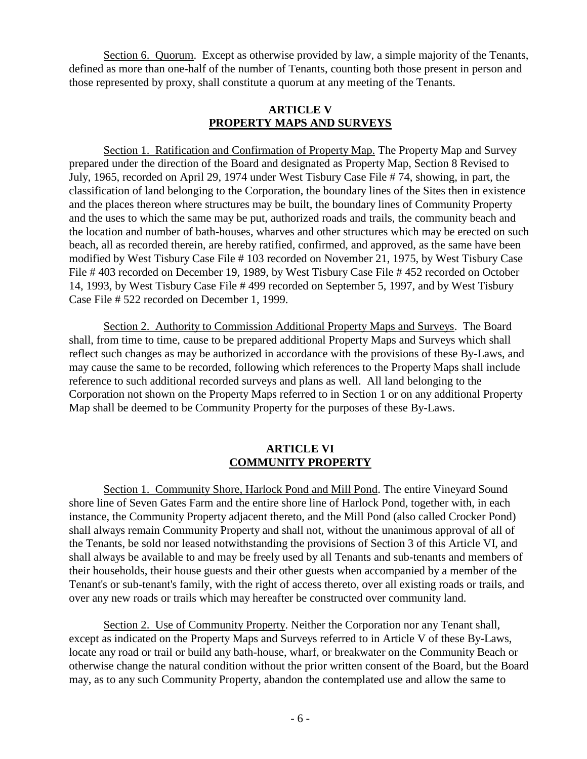Section 6. Quorum. Except as otherwise provided by law, a simple majority of the Tenants, defined as more than one-half of the number of Tenants, counting both those present in person and those represented by proxy, shall constitute a quorum at any meeting of the Tenants.

#### **ARTICLE V PROPERTY MAPS AND SURVEYS**

Section 1. Ratification and Confirmation of Property Map. The Property Map and Survey prepared under the direction of the Board and designated as Property Map, Section 8 Revised to July, 1965, recorded on April 29, 1974 under West Tisbury Case File # 74, showing, in part, the classification of land belonging to the Corporation, the boundary lines of the Sites then in existence and the places thereon where structures may be built, the boundary lines of Community Property and the uses to which the same may be put, authorized roads and trails, the community beach and the location and number of bath-houses, wharves and other structures which may be erected on such beach, all as recorded therein, are hereby ratified, confirmed, and approved, as the same have been modified by West Tisbury Case File # 103 recorded on November 21, 1975, by West Tisbury Case File # 403 recorded on December 19, 1989, by West Tisbury Case File # 452 recorded on October 14, 1993, by West Tisbury Case File # 499 recorded on September 5, 1997, and by West Tisbury Case File # 522 recorded on December 1, 1999.

Section 2. Authority to Commission Additional Property Maps and Surveys. The Board shall, from time to time, cause to be prepared additional Property Maps and Surveys which shall reflect such changes as may be authorized in accordance with the provisions of these By-Laws, and may cause the same to be recorded, following which references to the Property Maps shall include reference to such additional recorded surveys and plans as well. All land belonging to the Corporation not shown on the Property Maps referred to in Section 1 or on any additional Property Map shall be deemed to be Community Property for the purposes of these By-Laws.

### **ARTICLE VI COMMUNITY PROPERTY**

Section 1. Community Shore, Harlock Pond and Mill Pond. The entire Vineyard Sound shore line of Seven Gates Farm and the entire shore line of Harlock Pond, together with, in each instance, the Community Property adjacent thereto, and the Mill Pond (also called Crocker Pond) shall always remain Community Property and shall not, without the unanimous approval of all of the Tenants, be sold nor leased notwithstanding the provisions of Section 3 of this Article VI, and shall always be available to and may be freely used by all Tenants and sub-tenants and members of their households, their house guests and their other guests when accompanied by a member of the Tenant's or sub-tenant's family, with the right of access thereto, over all existing roads or trails, and over any new roads or trails which may hereafter be constructed over community land.

Section 2. Use of Community Property. Neither the Corporation nor any Tenant shall, except as indicated on the Property Maps and Surveys referred to in Article V of these By-Laws, locate any road or trail or build any bath-house, wharf, or breakwater on the Community Beach or otherwise change the natural condition without the prior written consent of the Board, but the Board may, as to any such Community Property, abandon the contemplated use and allow the same to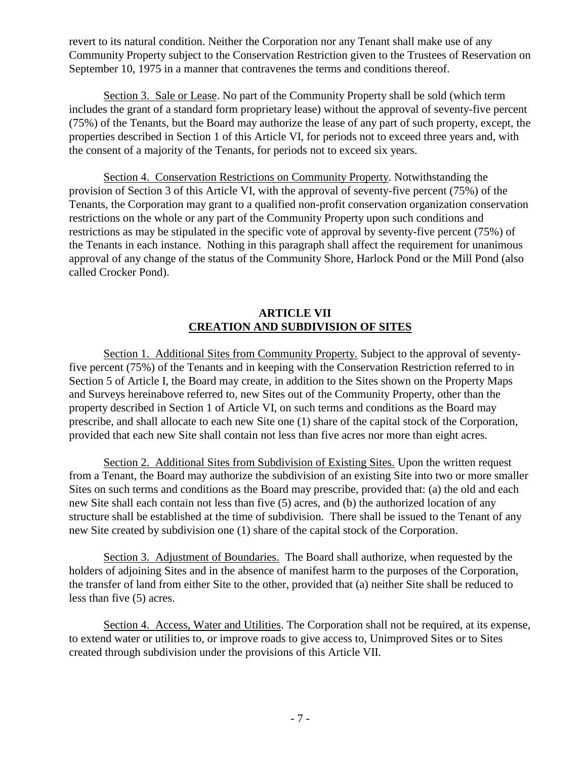revert to its natural condition. Neither the Corporation nor any Tenant shall make use of any Community Property subject to the Conservation Restriction given to the Trustees of Reservation on September 10, 1975 in a manner that contravenes the terms and conditions thereof.

Section 3. Sale or Lease. No part of the Community Property shall be sold (which term includes the grant of a standard form proprietary lease) without the approval of seventy-five percent (75%) of the Tenants, but the Board may authorize the lease of any part of such property, except, the properties described in Section 1 of this Article VI, for periods not to exceed three years and, with the consent of a majority of the Tenants, for periods not to exceed six years.

Section 4. Conservation Restrictions on Community Property. Notwithstanding the provision of Section 3 of this Article VI, with the approval of seventy-five percent (75%) of the Tenants, the Corporation may grant to a qualified non-profit conservation organization conservation restrictions on the whole or any part of the Community Property upon such conditions and restrictions as may be stipulated in the specific vote of approval by seventy-five percent (75%) of the Tenants in each instance. Nothing in this paragraph shall affect the requirement for unanimous approval of any change of the status of the Community Shore, Harlock Pond or the Mill Pond (also called Crocker Pond).

# **ARTICLE VII CREATION AND SUBDIVISION OF SITES**

Section 1. Additional Sites from Community Property. Subject to the approval of seventyfive percent (75%) of the Tenants and in keeping with the Conservation Restriction referred to in Section 5 of Article I, the Board may create, in addition to the Sites shown on the Property Maps and Surveys hereinabove referred to, new Sites out of the Community Property, other than the property described in Section 1 of Article VI, on such terms and conditions as the Board may prescribe, and shall allocate to each new Site one (1) share of the capital stock of the Corporation, provided that each new Site shall contain not less than five acres nor more than eight acres.

Section 2. Additional Sites from Subdivision of Existing Sites. Upon the written request from a Tenant, the Board may authorize the subdivision of an existing Site into two or more smaller Sites on such terms and conditions as the Board may prescribe, provided that: (a) the old and each new Site shall each contain not less than five (5) acres, and (b) the authorized location of any structure shall be established at the time of subdivision. There shall be issued to the Tenant of any new Site created by subdivision one (1) share of the capital stock of the Corporation.

Section 3. Adjustment of Boundaries. The Board shall authorize, when requested by the holders of adjoining Sites and in the absence of manifest harm to the purposes of the Corporation, the transfer of land from either Site to the other, provided that (a) neither Site shall be reduced to less than five (5) acres.

Section 4. Access, Water and Utilities. The Corporation shall not be required, at its expense, to extend water or utilities to, or improve roads to give access to, Unimproved Sites or to Sites created through subdivision under the provisions of this Article VII.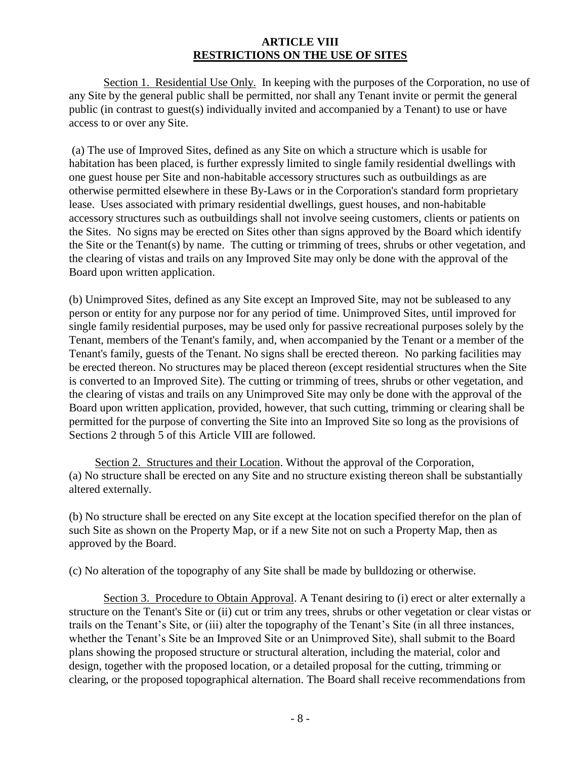# **ARTICLE VIII RESTRICTIONS ON THE USE OF SITES**

Section 1. Residential Use Only. In keeping with the purposes of the Corporation, no use of any Site by the general public shall be permitted, nor shall any Tenant invite or permit the general public (in contrast to guest(s) individually invited and accompanied by a Tenant) to use or have access to or over any Site.

(a) The use of Improved Sites, defined as any Site on which a structure which is usable for habitation has been placed, is further expressly limited to single family residential dwellings with one guest house per Site and non-habitable accessory structures such as outbuildings as are otherwise permitted elsewhere in these By-Laws or in the Corporation's standard form proprietary lease. Uses associated with primary residential dwellings, guest houses, and non-habitable accessory structures such as outbuildings shall not involve seeing customers, clients or patients on the Sites. No signs may be erected on Sites other than signs approved by the Board which identify the Site or the Tenant(s) by name. The cutting or trimming of trees, shrubs or other vegetation, and the clearing of vistas and trails on any Improved Site may only be done with the approval of the Board upon written application.

(b) Unimproved Sites, defined as any Site except an Improved Site, may not be subleased to any person or entity for any purpose nor for any period of time. Unimproved Sites, until improved for single family residential purposes, may be used only for passive recreational purposes solely by the Tenant, members of the Tenant's family, and, when accompanied by the Tenant or a member of the Tenant's family, guests of the Tenant. No signs shall be erected thereon. No parking facilities may be erected thereon. No structures may be placed thereon (except residential structures when the Site is converted to an Improved Site). The cutting or trimming of trees, shrubs or other vegetation, and the clearing of vistas and trails on any Unimproved Site may only be done with the approval of the Board upon written application, provided, however, that such cutting, trimming or clearing shall be permitted for the purpose of converting the Site into an Improved Site so long as the provisions of Sections 2 through 5 of this Article VIII are followed.

 Section 2. Structures and their Location. Without the approval of the Corporation, (a) No structure shall be erected on any Site and no structure existing thereon shall be substantially altered externally.

(b) No structure shall be erected on any Site except at the location specified therefor on the plan of such Site as shown on the Property Map, or if a new Site not on such a Property Map, then as approved by the Board.

(c) No alteration of the topography of any Site shall be made by bulldozing or otherwise.

Section 3. Procedure to Obtain Approval. A Tenant desiring to (i) erect or alter externally a structure on the Tenant's Site or (ii) cut or trim any trees, shrubs or other vegetation or clear vistas or trails on the Tenant's Site, or (iii) alter the topography of the Tenant's Site (in all three instances, whether the Tenant's Site be an Improved Site or an Unimproved Site), shall submit to the Board plans showing the proposed structure or structural alteration, including the material, color and design, together with the proposed location, or a detailed proposal for the cutting, trimming or clearing, or the proposed topographical alternation. The Board shall receive recommendations from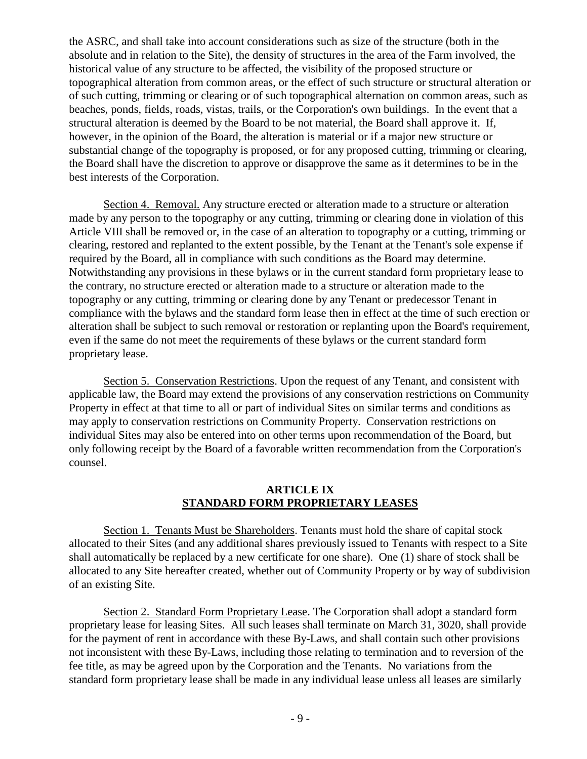the ASRC, and shall take into account considerations such as size of the structure (both in the absolute and in relation to the Site), the density of structures in the area of the Farm involved, the historical value of any structure to be affected, the visibility of the proposed structure or topographical alteration from common areas, or the effect of such structure or structural alteration or of such cutting, trimming or clearing or of such topographical alternation on common areas, such as beaches, ponds, fields, roads, vistas, trails, or the Corporation's own buildings. In the event that a structural alteration is deemed by the Board to be not material, the Board shall approve it. If, however, in the opinion of the Board, the alteration is material or if a major new structure or substantial change of the topography is proposed, or for any proposed cutting, trimming or clearing, the Board shall have the discretion to approve or disapprove the same as it determines to be in the best interests of the Corporation.

Section 4. Removal. Any structure erected or alteration made to a structure or alteration made by any person to the topography or any cutting, trimming or clearing done in violation of this Article VIII shall be removed or, in the case of an alteration to topography or a cutting, trimming or clearing, restored and replanted to the extent possible, by the Tenant at the Tenant's sole expense if required by the Board, all in compliance with such conditions as the Board may determine. Notwithstanding any provisions in these bylaws or in the current standard form proprietary lease to the contrary, no structure erected or alteration made to a structure or alteration made to the topography or any cutting, trimming or clearing done by any Tenant or predecessor Tenant in compliance with the bylaws and the standard form lease then in effect at the time of such erection or alteration shall be subject to such removal or restoration or replanting upon the Board's requirement, even if the same do not meet the requirements of these bylaws or the current standard form proprietary lease.

Section 5. Conservation Restrictions. Upon the request of any Tenant, and consistent with applicable law, the Board may extend the provisions of any conservation restrictions on Community Property in effect at that time to all or part of individual Sites on similar terms and conditions as may apply to conservation restrictions on Community Property. Conservation restrictions on individual Sites may also be entered into on other terms upon recommendation of the Board, but only following receipt by the Board of a favorable written recommendation from the Corporation's counsel.

## **ARTICLE IX STANDARD FORM PROPRIETARY LEASES**

Section 1. Tenants Must be Shareholders. Tenants must hold the share of capital stock allocated to their Sites (and any additional shares previously issued to Tenants with respect to a Site shall automatically be replaced by a new certificate for one share). One (1) share of stock shall be allocated to any Site hereafter created, whether out of Community Property or by way of subdivision of an existing Site.

Section 2. Standard Form Proprietary Lease. The Corporation shall adopt a standard form proprietary lease for leasing Sites. All such leases shall terminate on March 31, 3020, shall provide for the payment of rent in accordance with these By-Laws, and shall contain such other provisions not inconsistent with these By-Laws, including those relating to termination and to reversion of the fee title, as may be agreed upon by the Corporation and the Tenants. No variations from the standard form proprietary lease shall be made in any individual lease unless all leases are similarly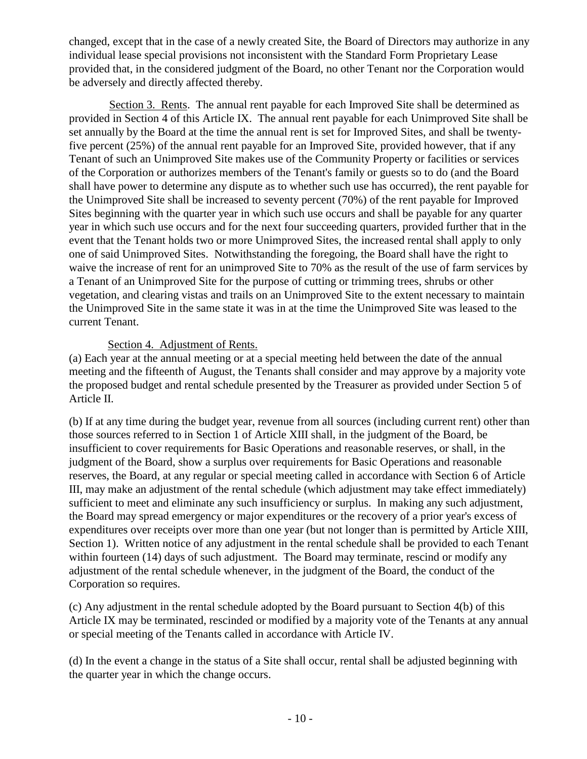changed, except that in the case of a newly created Site, the Board of Directors may authorize in any individual lease special provisions not inconsistent with the Standard Form Proprietary Lease provided that, in the considered judgment of the Board, no other Tenant nor the Corporation would be adversely and directly affected thereby.

Section 3. Rents. The annual rent payable for each Improved Site shall be determined as provided in Section 4 of this Article IX. The annual rent payable for each Unimproved Site shall be set annually by the Board at the time the annual rent is set for Improved Sites, and shall be twentyfive percent (25%) of the annual rent payable for an Improved Site, provided however, that if any Tenant of such an Unimproved Site makes use of the Community Property or facilities or services of the Corporation or authorizes members of the Tenant's family or guests so to do (and the Board shall have power to determine any dispute as to whether such use has occurred), the rent payable for the Unimproved Site shall be increased to seventy percent (70%) of the rent payable for Improved Sites beginning with the quarter year in which such use occurs and shall be payable for any quarter year in which such use occurs and for the next four succeeding quarters, provided further that in the event that the Tenant holds two or more Unimproved Sites, the increased rental shall apply to only one of said Unimproved Sites. Notwithstanding the foregoing, the Board shall have the right to waive the increase of rent for an unimproved Site to 70% as the result of the use of farm services by a Tenant of an Unimproved Site for the purpose of cutting or trimming trees, shrubs or other vegetation, and clearing vistas and trails on an Unimproved Site to the extent necessary to maintain the Unimproved Site in the same state it was in at the time the Unimproved Site was leased to the current Tenant.

## Section 4. Adjustment of Rents.

(a) Each year at the annual meeting or at a special meeting held between the date of the annual meeting and the fifteenth of August, the Tenants shall consider and may approve by a majority vote the proposed budget and rental schedule presented by the Treasurer as provided under Section 5 of Article II.

(b) If at any time during the budget year, revenue from all sources (including current rent) other than those sources referred to in Section 1 of Article XIII shall, in the judgment of the Board, be insufficient to cover requirements for Basic Operations and reasonable reserves, or shall, in the judgment of the Board, show a surplus over requirements for Basic Operations and reasonable reserves, the Board, at any regular or special meeting called in accordance with Section 6 of Article III, may make an adjustment of the rental schedule (which adjustment may take effect immediately) sufficient to meet and eliminate any such insufficiency or surplus. In making any such adjustment, the Board may spread emergency or major expenditures or the recovery of a prior year's excess of expenditures over receipts over more than one year (but not longer than is permitted by Article XIII, Section 1). Written notice of any adjustment in the rental schedule shall be provided to each Tenant within fourteen (14) days of such adjustment. The Board may terminate, rescind or modify any adjustment of the rental schedule whenever, in the judgment of the Board, the conduct of the Corporation so requires.

(c) Any adjustment in the rental schedule adopted by the Board pursuant to Section 4(b) of this Article IX may be terminated, rescinded or modified by a majority vote of the Tenants at any annual or special meeting of the Tenants called in accordance with Article IV.

(d) In the event a change in the status of a Site shall occur, rental shall be adjusted beginning with the quarter year in which the change occurs.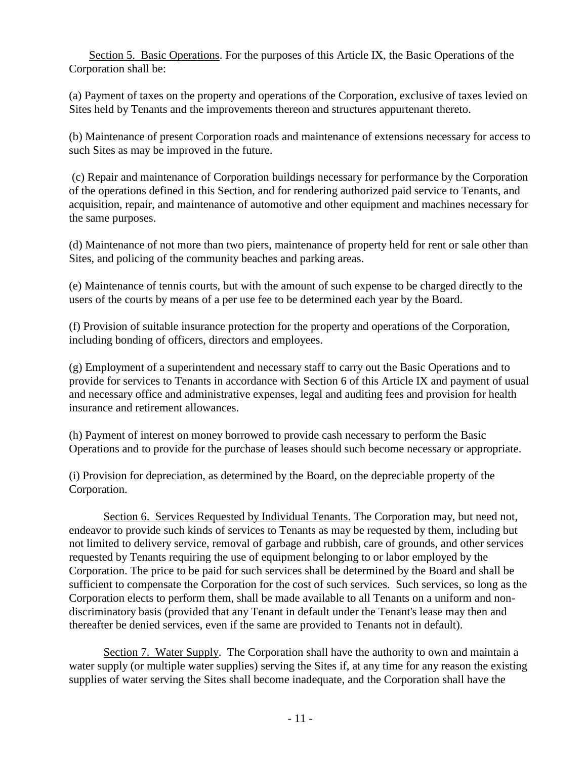Section 5. Basic Operations. For the purposes of this Article IX, the Basic Operations of the Corporation shall be:

(a) Payment of taxes on the property and operations of the Corporation, exclusive of taxes levied on Sites held by Tenants and the improvements thereon and structures appurtenant thereto.

(b) Maintenance of present Corporation roads and maintenance of extensions necessary for access to such Sites as may be improved in the future.

(c) Repair and maintenance of Corporation buildings necessary for performance by the Corporation of the operations defined in this Section, and for rendering authorized paid service to Tenants, and acquisition, repair, and maintenance of automotive and other equipment and machines necessary for the same purposes.

(d) Maintenance of not more than two piers, maintenance of property held for rent or sale other than Sites, and policing of the community beaches and parking areas.

(e) Maintenance of tennis courts, but with the amount of such expense to be charged directly to the users of the courts by means of a per use fee to be determined each year by the Board.

(f) Provision of suitable insurance protection for the property and operations of the Corporation, including bonding of officers, directors and employees.

(g) Employment of a superintendent and necessary staff to carry out the Basic Operations and to provide for services to Tenants in accordance with Section 6 of this Article IX and payment of usual and necessary office and administrative expenses, legal and auditing fees and provision for health insurance and retirement allowances.

(h) Payment of interest on money borrowed to provide cash necessary to perform the Basic Operations and to provide for the purchase of leases should such become necessary or appropriate.

(i) Provision for depreciation, as determined by the Board, on the depreciable property of the Corporation.

Section 6. Services Requested by Individual Tenants. The Corporation may, but need not, endeavor to provide such kinds of services to Tenants as may be requested by them, including but not limited to delivery service, removal of garbage and rubbish, care of grounds, and other services requested by Tenants requiring the use of equipment belonging to or labor employed by the Corporation. The price to be paid for such services shall be determined by the Board and shall be sufficient to compensate the Corporation for the cost of such services. Such services, so long as the Corporation elects to perform them, shall be made available to all Tenants on a uniform and nondiscriminatory basis (provided that any Tenant in default under the Tenant's lease may then and thereafter be denied services, even if the same are provided to Tenants not in default).

Section 7. Water Supply. The Corporation shall have the authority to own and maintain a water supply (or multiple water supplies) serving the Sites if, at any time for any reason the existing supplies of water serving the Sites shall become inadequate, and the Corporation shall have the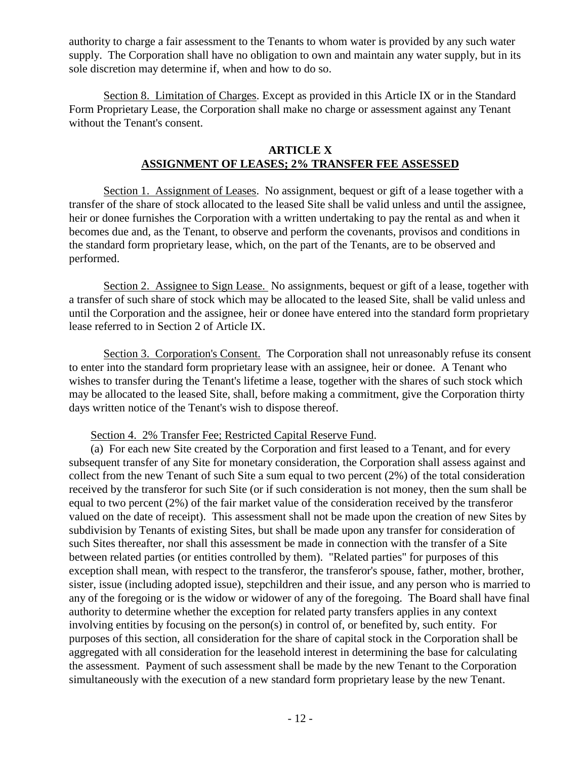authority to charge a fair assessment to the Tenants to whom water is provided by any such water supply. The Corporation shall have no obligation to own and maintain any water supply, but in its sole discretion may determine if, when and how to do so.

Section 8. Limitation of Charges. Except as provided in this Article IX or in the Standard Form Proprietary Lease, the Corporation shall make no charge or assessment against any Tenant without the Tenant's consent.

## **ARTICLE X ASSIGNMENT OF LEASES; 2% TRANSFER FEE ASSESSED**

Section 1. Assignment of Leases. No assignment, bequest or gift of a lease together with a transfer of the share of stock allocated to the leased Site shall be valid unless and until the assignee, heir or donee furnishes the Corporation with a written undertaking to pay the rental as and when it becomes due and, as the Tenant, to observe and perform the covenants, provisos and conditions in the standard form proprietary lease, which, on the part of the Tenants, are to be observed and performed.

Section 2. Assignee to Sign Lease. No assignments, bequest or gift of a lease, together with a transfer of such share of stock which may be allocated to the leased Site, shall be valid unless and until the Corporation and the assignee, heir or donee have entered into the standard form proprietary lease referred to in Section 2 of Article IX.

Section 3. Corporation's Consent. The Corporation shall not unreasonably refuse its consent to enter into the standard form proprietary lease with an assignee, heir or donee. A Tenant who wishes to transfer during the Tenant's lifetime a lease, together with the shares of such stock which may be allocated to the leased Site, shall, before making a commitment, give the Corporation thirty days written notice of the Tenant's wish to dispose thereof.

#### Section 4. 2% Transfer Fee; Restricted Capital Reserve Fund.

(a) For each new Site created by the Corporation and first leased to a Tenant, and for every subsequent transfer of any Site for monetary consideration, the Corporation shall assess against and collect from the new Tenant of such Site a sum equal to two percent (2%) of the total consideration received by the transferor for such Site (or if such consideration is not money, then the sum shall be equal to two percent (2%) of the fair market value of the consideration received by the transferor valued on the date of receipt). This assessment shall not be made upon the creation of new Sites by subdivision by Tenants of existing Sites, but shall be made upon any transfer for consideration of such Sites thereafter, nor shall this assessment be made in connection with the transfer of a Site between related parties (or entities controlled by them). "Related parties" for purposes of this exception shall mean, with respect to the transferor, the transferor's spouse, father, mother, brother, sister, issue (including adopted issue), stepchildren and their issue, and any person who is married to any of the foregoing or is the widow or widower of any of the foregoing. The Board shall have final authority to determine whether the exception for related party transfers applies in any context involving entities by focusing on the person(s) in control of, or benefited by, such entity. For purposes of this section, all consideration for the share of capital stock in the Corporation shall be aggregated with all consideration for the leasehold interest in determining the base for calculating the assessment. Payment of such assessment shall be made by the new Tenant to the Corporation simultaneously with the execution of a new standard form proprietary lease by the new Tenant.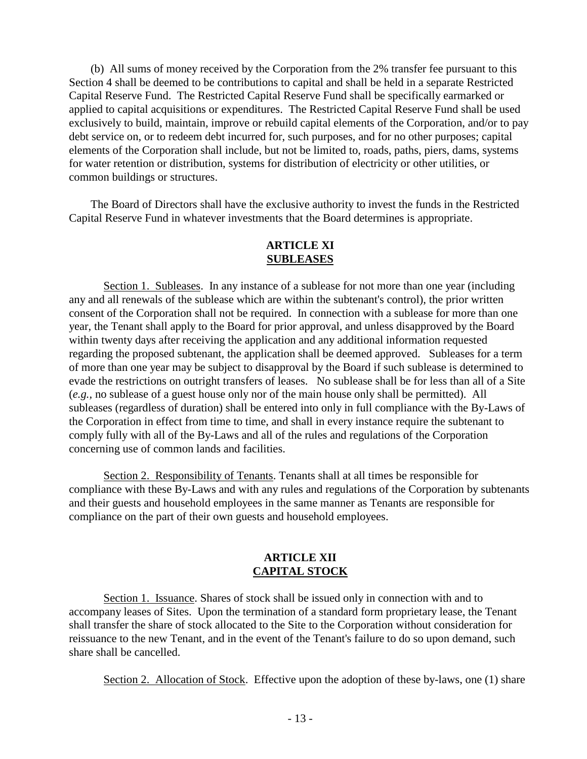(b) All sums of money received by the Corporation from the 2% transfer fee pursuant to this Section 4 shall be deemed to be contributions to capital and shall be held in a separate Restricted Capital Reserve Fund. The Restricted Capital Reserve Fund shall be specifically earmarked or applied to capital acquisitions or expenditures. The Restricted Capital Reserve Fund shall be used exclusively to build, maintain, improve or rebuild capital elements of the Corporation, and/or to pay debt service on, or to redeem debt incurred for, such purposes, and for no other purposes; capital elements of the Corporation shall include, but not be limited to, roads, paths, piers, dams, systems for water retention or distribution, systems for distribution of electricity or other utilities, or common buildings or structures.

The Board of Directors shall have the exclusive authority to invest the funds in the Restricted Capital Reserve Fund in whatever investments that the Board determines is appropriate.

#### **ARTICLE XI SUBLEASES**

Section 1. Subleases. In any instance of a sublease for not more than one year (including any and all renewals of the sublease which are within the subtenant's control), the prior written consent of the Corporation shall not be required. In connection with a sublease for more than one year, the Tenant shall apply to the Board for prior approval, and unless disapproved by the Board within twenty days after receiving the application and any additional information requested regarding the proposed subtenant, the application shall be deemed approved. Subleases for a term of more than one year may be subject to disapproval by the Board if such sublease is determined to evade the restrictions on outright transfers of leases. No sublease shall be for less than all of a Site (*e.g.,* no sublease of a guest house only nor of the main house only shall be permitted). All subleases (regardless of duration) shall be entered into only in full compliance with the By-Laws of the Corporation in effect from time to time, and shall in every instance require the subtenant to comply fully with all of the By-Laws and all of the rules and regulations of the Corporation concerning use of common lands and facilities.

Section 2. Responsibility of Tenants. Tenants shall at all times be responsible for compliance with these By-Laws and with any rules and regulations of the Corporation by subtenants and their guests and household employees in the same manner as Tenants are responsible for compliance on the part of their own guests and household employees.

### **ARTICLE XII CAPITAL STOCK**

Section 1. Issuance. Shares of stock shall be issued only in connection with and to accompany leases of Sites. Upon the termination of a standard form proprietary lease, the Tenant shall transfer the share of stock allocated to the Site to the Corporation without consideration for reissuance to the new Tenant, and in the event of the Tenant's failure to do so upon demand, such share shall be cancelled.

Section 2. Allocation of Stock. Effective upon the adoption of these by-laws, one (1) share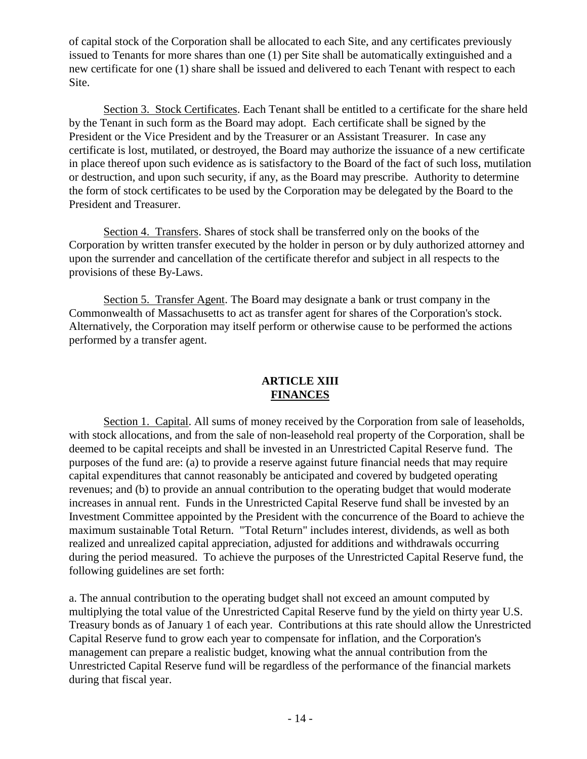of capital stock of the Corporation shall be allocated to each Site, and any certificates previously issued to Tenants for more shares than one (1) per Site shall be automatically extinguished and a new certificate for one (1) share shall be issued and delivered to each Tenant with respect to each Site.

Section 3. Stock Certificates. Each Tenant shall be entitled to a certificate for the share held by the Tenant in such form as the Board may adopt. Each certificate shall be signed by the President or the Vice President and by the Treasurer or an Assistant Treasurer. In case any certificate is lost, mutilated, or destroyed, the Board may authorize the issuance of a new certificate in place thereof upon such evidence as is satisfactory to the Board of the fact of such loss, mutilation or destruction, and upon such security, if any, as the Board may prescribe. Authority to determine the form of stock certificates to be used by the Corporation may be delegated by the Board to the President and Treasurer.

Section 4. Transfers. Shares of stock shall be transferred only on the books of the Corporation by written transfer executed by the holder in person or by duly authorized attorney and upon the surrender and cancellation of the certificate therefor and subject in all respects to the provisions of these By-Laws.

Section 5. Transfer Agent. The Board may designate a bank or trust company in the Commonwealth of Massachusetts to act as transfer agent for shares of the Corporation's stock. Alternatively, the Corporation may itself perform or otherwise cause to be performed the actions performed by a transfer agent.

# **ARTICLE XIII FINANCES**

Section 1. Capital. All sums of money received by the Corporation from sale of leaseholds, with stock allocations, and from the sale of non-leasehold real property of the Corporation, shall be deemed to be capital receipts and shall be invested in an Unrestricted Capital Reserve fund. The purposes of the fund are: (a) to provide a reserve against future financial needs that may require capital expenditures that cannot reasonably be anticipated and covered by budgeted operating revenues; and (b) to provide an annual contribution to the operating budget that would moderate increases in annual rent. Funds in the Unrestricted Capital Reserve fund shall be invested by an Investment Committee appointed by the President with the concurrence of the Board to achieve the maximum sustainable Total Return. "Total Return" includes interest, dividends, as well as both realized and unrealized capital appreciation, adjusted for additions and withdrawals occurring during the period measured. To achieve the purposes of the Unrestricted Capital Reserve fund, the following guidelines are set forth:

a. The annual contribution to the operating budget shall not exceed an amount computed by multiplying the total value of the Unrestricted Capital Reserve fund by the yield on thirty year U.S. Treasury bonds as of January 1 of each year. Contributions at this rate should allow the Unrestricted Capital Reserve fund to grow each year to compensate for inflation, and the Corporation's management can prepare a realistic budget, knowing what the annual contribution from the Unrestricted Capital Reserve fund will be regardless of the performance of the financial markets during that fiscal year.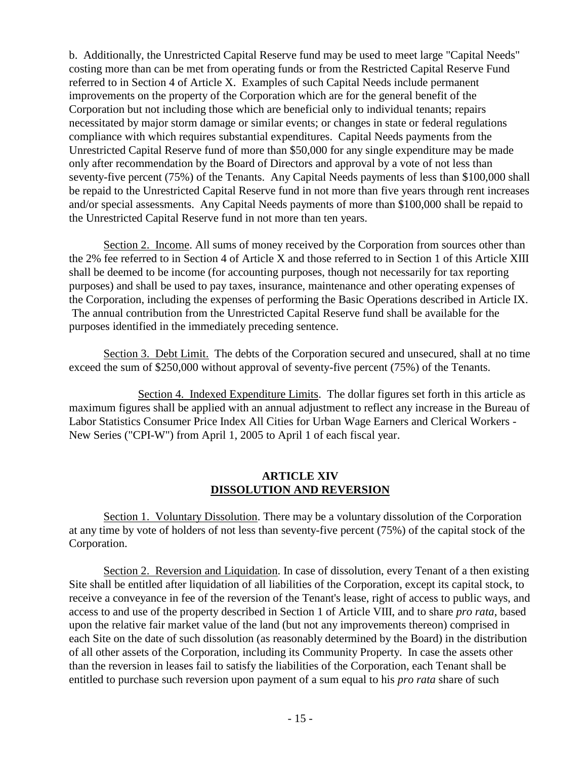b. Additionally, the Unrestricted Capital Reserve fund may be used to meet large "Capital Needs" costing more than can be met from operating funds or from the Restricted Capital Reserve Fund referred to in Section 4 of Article X. Examples of such Capital Needs include permanent improvements on the property of the Corporation which are for the general benefit of the Corporation but not including those which are beneficial only to individual tenants; repairs necessitated by major storm damage or similar events; or changes in state or federal regulations compliance with which requires substantial expenditures. Capital Needs payments from the Unrestricted Capital Reserve fund of more than \$50,000 for any single expenditure may be made only after recommendation by the Board of Directors and approval by a vote of not less than seventy-five percent (75%) of the Tenants. Any Capital Needs payments of less than \$100,000 shall be repaid to the Unrestricted Capital Reserve fund in not more than five years through rent increases and/or special assessments. Any Capital Needs payments of more than \$100,000 shall be repaid to the Unrestricted Capital Reserve fund in not more than ten years.

 Section 2. Income. All sums of money received by the Corporation from sources other than the 2% fee referred to in Section 4 of Article X and those referred to in Section 1 of this Article XIII shall be deemed to be income (for accounting purposes, though not necessarily for tax reporting purposes) and shall be used to pay taxes, insurance, maintenance and other operating expenses of the Corporation, including the expenses of performing the Basic Operations described in Article IX. The annual contribution from the Unrestricted Capital Reserve fund shall be available for the purposes identified in the immediately preceding sentence.

 Section 3. Debt Limit. The debts of the Corporation secured and unsecured, shall at no time exceed the sum of \$250,000 without approval of seventy-five percent (75%) of the Tenants.

Section 4. Indexed Expenditure Limits. The dollar figures set forth in this article as maximum figures shall be applied with an annual adjustment to reflect any increase in the Bureau of Labor Statistics Consumer Price Index All Cities for Urban Wage Earners and Clerical Workers - New Series ("CPI-W") from April 1, 2005 to April 1 of each fiscal year.

### **ARTICLE XIV DISSOLUTION AND REVERSION**

Section 1. Voluntary Dissolution. There may be a voluntary dissolution of the Corporation at any time by vote of holders of not less than seventy-five percent (75%) of the capital stock of the Corporation.

Section 2. Reversion and Liquidation. In case of dissolution, every Tenant of a then existing Site shall be entitled after liquidation of all liabilities of the Corporation, except its capital stock, to receive a conveyance in fee of the reversion of the Tenant's lease, right of access to public ways, and access to and use of the property described in Section 1 of Article VIII, and to share *pro rata*, based upon the relative fair market value of the land (but not any improvements thereon) comprised in each Site on the date of such dissolution (as reasonably determined by the Board) in the distribution of all other assets of the Corporation, including its Community Property. In case the assets other than the reversion in leases fail to satisfy the liabilities of the Corporation, each Tenant shall be entitled to purchase such reversion upon payment of a sum equal to his *pro rata* share of such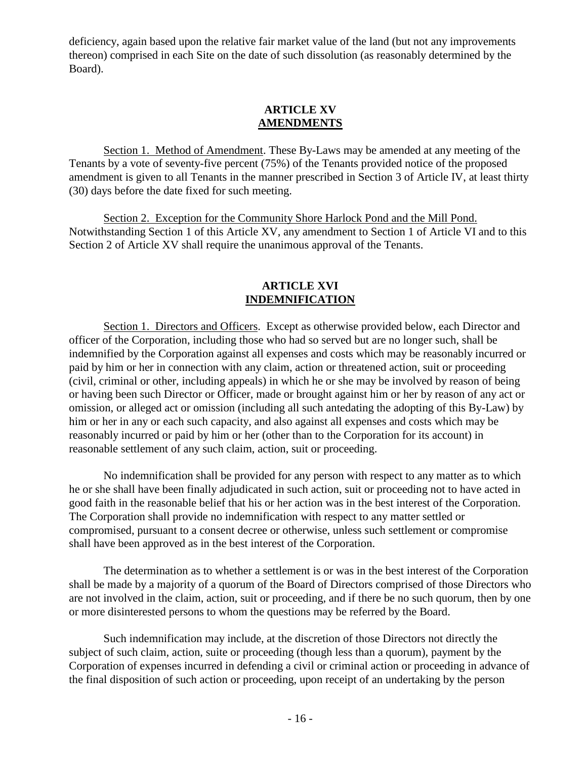deficiency, again based upon the relative fair market value of the land (but not any improvements thereon) comprised in each Site on the date of such dissolution (as reasonably determined by the Board).

### **ARTICLE XV AMENDMENTS**

Section 1. Method of Amendment. These By-Laws may be amended at any meeting of the Tenants by a vote of seventy-five percent (75%) of the Tenants provided notice of the proposed amendment is given to all Tenants in the manner prescribed in Section 3 of Article IV, at least thirty (30) days before the date fixed for such meeting.

Section 2. Exception for the Community Shore Harlock Pond and the Mill Pond. Notwithstanding Section 1 of this Article XV, any amendment to Section 1 of Article VI and to this Section 2 of Article XV shall require the unanimous approval of the Tenants.

## **ARTICLE XVI INDEMNIFICATION**

Section 1. Directors and Officers. Except as otherwise provided below, each Director and officer of the Corporation, including those who had so served but are no longer such, shall be indemnified by the Corporation against all expenses and costs which may be reasonably incurred or paid by him or her in connection with any claim, action or threatened action, suit or proceeding (civil, criminal or other, including appeals) in which he or she may be involved by reason of being or having been such Director or Officer, made or brought against him or her by reason of any act or omission, or alleged act or omission (including all such antedating the adopting of this By-Law) by him or her in any or each such capacity, and also against all expenses and costs which may be reasonably incurred or paid by him or her (other than to the Corporation for its account) in reasonable settlement of any such claim, action, suit or proceeding.

No indemnification shall be provided for any person with respect to any matter as to which he or she shall have been finally adjudicated in such action, suit or proceeding not to have acted in good faith in the reasonable belief that his or her action was in the best interest of the Corporation. The Corporation shall provide no indemnification with respect to any matter settled or compromised, pursuant to a consent decree or otherwise, unless such settlement or compromise shall have been approved as in the best interest of the Corporation.

The determination as to whether a settlement is or was in the best interest of the Corporation shall be made by a majority of a quorum of the Board of Directors comprised of those Directors who are not involved in the claim, action, suit or proceeding, and if there be no such quorum, then by one or more disinterested persons to whom the questions may be referred by the Board.

Such indemnification may include, at the discretion of those Directors not directly the subject of such claim, action, suite or proceeding (though less than a quorum), payment by the Corporation of expenses incurred in defending a civil or criminal action or proceeding in advance of the final disposition of such action or proceeding, upon receipt of an undertaking by the person